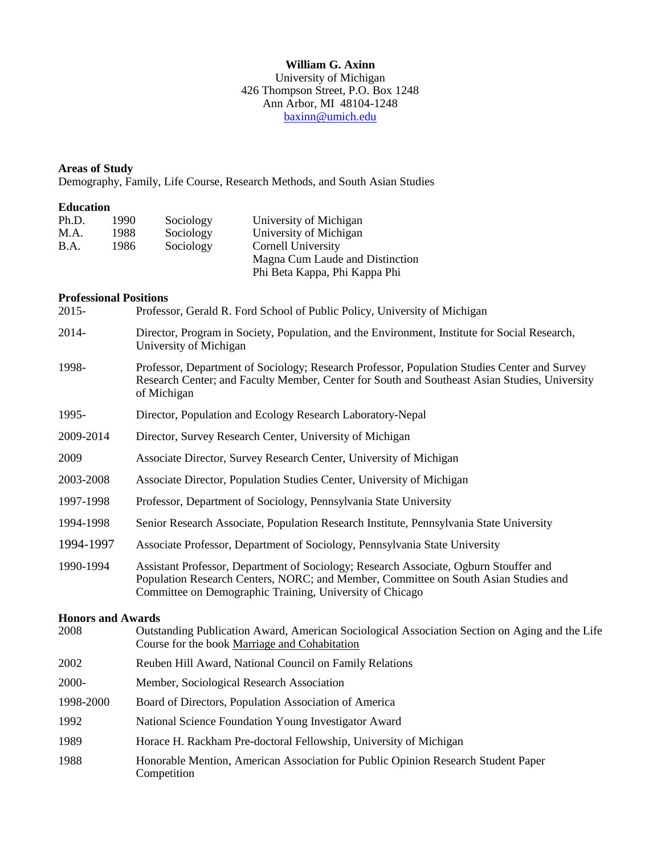### **William G. Axinn** University of Michigan 426 Thompson Street, P.O. Box 1248 Ann Arbor, MI 48104-1248 [baxinn@umich.edu](mailto:baxinn@umich.edu)

# **Areas of Study**

Demography, Family, Life Course, Research Methods, and South Asian Studies

## **Education**

| Ph.D. | 1990. | Sociology | University of Michigan                                           |
|-------|-------|-----------|------------------------------------------------------------------|
| M.A.  | 1988. | Sociology | University of Michigan                                           |
| B.A.  | 1986  | Sociology | Cornell University                                               |
|       |       |           | Magna Cum Laude and Distinction<br>Phi Beta Kappa, Phi Kappa Phi |

# **Professional Positions**

| 2015-                    | Professor, Gerald R. Ford School of Public Policy, University of Michigan                                                                                                                                                                |  |  |  |
|--------------------------|------------------------------------------------------------------------------------------------------------------------------------------------------------------------------------------------------------------------------------------|--|--|--|
| 2014-                    | Director, Program in Society, Population, and the Environment, Institute for Social Research,<br>University of Michigan                                                                                                                  |  |  |  |
| 1998-                    | Professor, Department of Sociology; Research Professor, Population Studies Center and Survey<br>Research Center; and Faculty Member, Center for South and Southeast Asian Studies, University<br>of Michigan                             |  |  |  |
| 1995-                    | Director, Population and Ecology Research Laboratory-Nepal                                                                                                                                                                               |  |  |  |
| 2009-2014                | Director, Survey Research Center, University of Michigan                                                                                                                                                                                 |  |  |  |
| 2009                     | Associate Director, Survey Research Center, University of Michigan                                                                                                                                                                       |  |  |  |
| 2003-2008                | Associate Director, Population Studies Center, University of Michigan                                                                                                                                                                    |  |  |  |
| 1997-1998                | Professor, Department of Sociology, Pennsylvania State University                                                                                                                                                                        |  |  |  |
| 1994-1998                | Senior Research Associate, Population Research Institute, Pennsylvania State University                                                                                                                                                  |  |  |  |
| 1994-1997                | Associate Professor, Department of Sociology, Pennsylvania State University                                                                                                                                                              |  |  |  |
| 1990-1994                | Assistant Professor, Department of Sociology; Research Associate, Ogburn Stouffer and<br>Population Research Centers, NORC; and Member, Committee on South Asian Studies and<br>Committee on Demographic Training, University of Chicago |  |  |  |
| <b>Honors and Awards</b> |                                                                                                                                                                                                                                          |  |  |  |
| 2008                     | Outstanding Publication Award, American Sociological Association Section on Aging and the Life<br>Course for the book Marriage and Cohabitation                                                                                          |  |  |  |
| 2002                     | Reuben Hill Award, National Council on Family Relations                                                                                                                                                                                  |  |  |  |
| 2000-                    | Member, Sociological Research Association                                                                                                                                                                                                |  |  |  |
| 1998-2000                | Board of Directors, Population Association of America                                                                                                                                                                                    |  |  |  |
| 1992                     | National Science Foundation Young Investigator Award                                                                                                                                                                                     |  |  |  |
| 1989                     | Horace H. Rackham Pre-doctoral Fellowship, University of Michigan                                                                                                                                                                        |  |  |  |
| 1988                     | Honorable Mention, American Association for Public Opinion Research Student Paper<br>Competition                                                                                                                                         |  |  |  |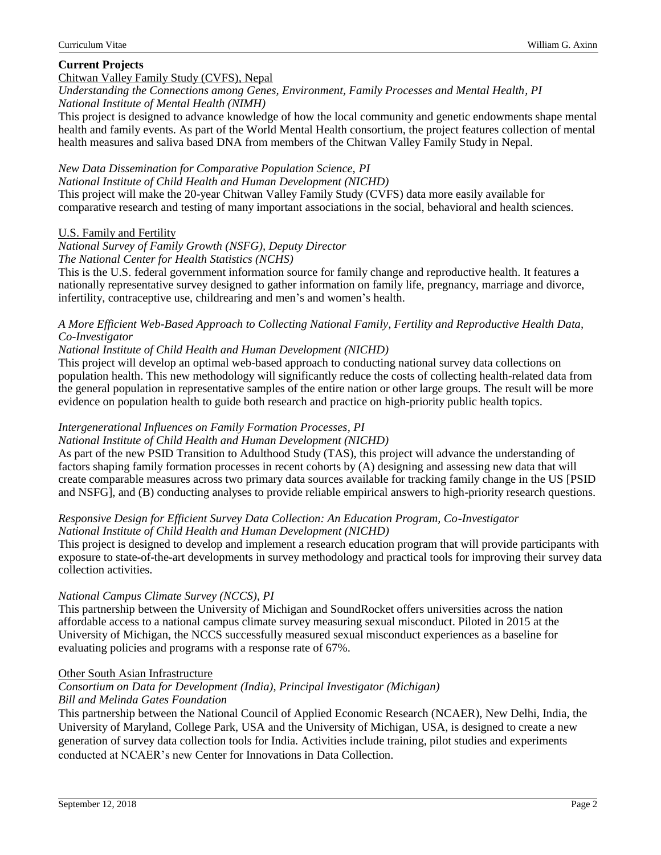# **Current Projects**

## Chitwan Valley Family Study (CVFS), Nepal

*Understanding the Connections among Genes, Environment, Family Processes and Mental Health, PI National Institute of Mental Health (NIMH)*

This project is designed to advance knowledge of how the local community and genetic endowments shape mental health and family events. As part of the World Mental Health consortium, the project features collection of mental health measures and saliva based DNA from members of the Chitwan Valley Family Study in Nepal.

### *New Data Dissemination for Comparative Population Science, PI*

*National Institute of Child Health and Human Development (NICHD)*

This project will make the 20-year Chitwan Valley Family Study (CVFS) data more easily available for comparative research and testing of many important associations in the social, behavioral and health sciences.

## U.S. Family and Fertility

*National Survey of Family Growth (NSFG), Deputy Director The National Center for Health Statistics (NCHS)*

This is the U.S. federal government information source for family change and reproductive health. It features a nationally representative survey designed to gather information on family life, pregnancy, marriage and divorce, infertility, contraceptive use, childrearing and men's and women's health.

### *A More Efficient Web-Based Approach to Collecting National Family, Fertility and Reproductive Health Data, Co-Investigator*

## *National Institute of Child Health and Human Development (NICHD)*

This project will develop an optimal web-based approach to conducting national survey data collections on population health. This new methodology will significantly reduce the costs of collecting health-related data from the general population in representative samples of the entire nation or other large groups. The result will be more evidence on population health to guide both research and practice on high-priority public health topics.

### *Intergenerational Influences on Family Formation Processes, PI*

*National Institute of Child Health and Human Development (NICHD)*

As part of the new PSID Transition to Adulthood Study (TAS), this project will advance the understanding of factors shaping family formation processes in recent cohorts by (A) designing and assessing new data that will create comparable measures across two primary data sources available for tracking family change in the US [PSID and NSFG], and (B) conducting analyses to provide reliable empirical answers to high-priority research questions.

#### *Responsive Design for Efficient Survey Data Collection: An Education Program, Co-Investigator National Institute of Child Health and Human Development (NICHD)*

This project is designed to develop and implement a research education program that will provide participants with exposure to state-of-the-art developments in survey methodology and practical tools for improving their survey data collection activities.

#### *National Campus Climate Survey (NCCS), PI*

This partnership between the University of Michigan and SoundRocket offers universities across the nation affordable access to a national campus climate survey measuring sexual misconduct. Piloted in 2015 at the University of Michigan, the NCCS successfully measured sexual misconduct experiences as a baseline for evaluating policies and programs with a response rate of 67%.

#### Other South Asian Infrastructure

#### *Consortium on Data for Development (India), Principal Investigator (Michigan) Bill and Melinda Gates Foundation*

This partnership between the National Council of Applied Economic Research (NCAER), New Delhi, India, the University of Maryland, College Park, USA and the University of Michigan, USA, is designed to create a new generation of survey data collection tools for India. Activities include training, pilot studies and experiments conducted at NCAER's new Center for Innovations in Data Collection.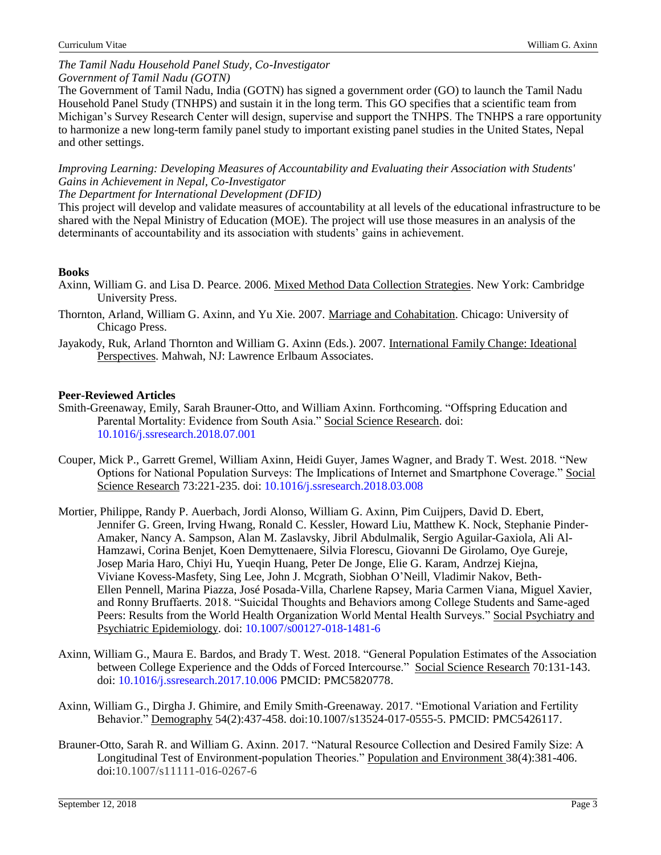### *The Tamil Nadu Household Panel Study, Co-Investigator Government of Tamil Nadu (GOTN)*

The Government of Tamil Nadu, India (GOTN) has signed a government order (GO) to launch the Tamil Nadu Household Panel Study (TNHPS) and sustain it in the long term. This GO specifies that a scientific team from Michigan's Survey Research Center will design, supervise and support the TNHPS. The TNHPS a rare opportunity to harmonize a new long-term family panel study to important existing panel studies in the United States, Nepal and other settings.

*Improving Learning: Developing Measures of Accountability and Evaluating their Association with Students' Gains in Achievement in Nepal, Co-Investigator*

*The Department for International Development (DFID)*

This project will develop and validate measures of accountability at all levels of the educational infrastructure to be shared with the Nepal Ministry of Education (MOE). The project will use those measures in an analysis of the determinants of accountability and its association with students' gains in achievement.

# **Books**

- Axinn, William G. and Lisa D. Pearce. 2006. Mixed Method Data Collection Strategies. New York: Cambridge University Press.
- Thornton, Arland, William G. Axinn, and Yu Xie. 2007. Marriage and Cohabitation. Chicago: University of Chicago Press.
- Jayakody, Ruk, Arland Thornton and William G. Axinn (Eds.). 2007. International Family Change: Ideational Perspectives. Mahwah, NJ: Lawrence Erlbaum Associates.

# **Peer-Reviewed Articles**

- Smith-Greenaway, Emily, Sarah Brauner-Otto, and William Axinn. Forthcoming. "Offspring Education and Parental Mortality: Evidence from South Asia." Social Science Research. doi: [10.1016/j.ssresearch.2018.07.001](https://doi.org/10.1016/j.ssresearch.2018.07.001)
- Couper, Mick P., Garrett Gremel, William Axinn, Heidi Guyer, James Wagner, and Brady T. West. 2018. "New Options for National Population Surveys: The Implications of Internet and Smartphone Coverage." Social Science Research 73:221-235. doi: [10.1016/j.ssresearch.2018.03.008](https://doi.org/10.1016/j.ssresearch.2018.03.008)
- Mortier, Philippe, Randy P. Auerbach, Jordi Alonso, William G. Axinn, Pim Cuijpers, David D. Ebert, Jennifer G. Green, Irving Hwang, Ronald C. Kessler, Howard Liu, Matthew K. Nock, Stephanie Pinder-Amaker, Nancy A. Sampson, Alan M. Zaslavsky, Jibril Abdulmalik, Sergio Aguilar-Gaxiola, Ali Al-Hamzawi, Corina Benjet, Koen Demyttenaere, Silvia Florescu, Giovanni De Girolamo, Oye Gureje, Josep Maria Haro, Chiyi Hu, Yueqin Huang, Peter De Jonge, Elie G. Karam, Andrzej Kiejna, Viviane Kovess-Masfety, Sing Lee, John J. Mcgrath, Siobhan O'Neill, Vladimir Nakov, Beth-Ellen Pennell, Marina Piazza, José Posada-Villa, Charlene Rapsey, Maria Carmen Viana, Miguel Xavier, and Ronny Bruffaerts. 2018. "Suicidal Thoughts and Behaviors among College Students and Same-aged Peers: Results from the World Health Organization World Mental Health Surveys." Social Psychiatry and Psychiatric Epidemiology. doi: [10.1007/s00127-018-1481-6](https://doi.org/10.1007/s00127-018-1481-6)
- Axinn, William G., Maura E. Bardos, and Brady T. West. 2018. "General Population Estimates of the Association between College Experience and the Odds of Forced Intercourse." Social Science Research 70:131-143. doi: [10.1016/j.ssresearch.2017.10.006](https://doi.org/10.1016/j.ssresearch.2017.10.006) PMCID: [PMC5820778.](https://www.ncbi.nlm.nih.gov/pmc/articles/PMC5820778/)
- Axinn, William G., Dirgha J. Ghimire, and Emily Smith-Greenaway. 2017. "Emotional Variation and Fertility Behavior." Demography 54(2):437-458. doi:10.1007/s13524-017-0555-5. PMCID: PMC5426117.
- Brauner-Otto, Sarah R. and William G. Axinn. 2017. "Natural Resource Collection and Desired Family Size: A Longitudinal Test of Environment-population Theories." Population and Environment 38(4):381-406. doi:10.1007/s11111-016-0267-6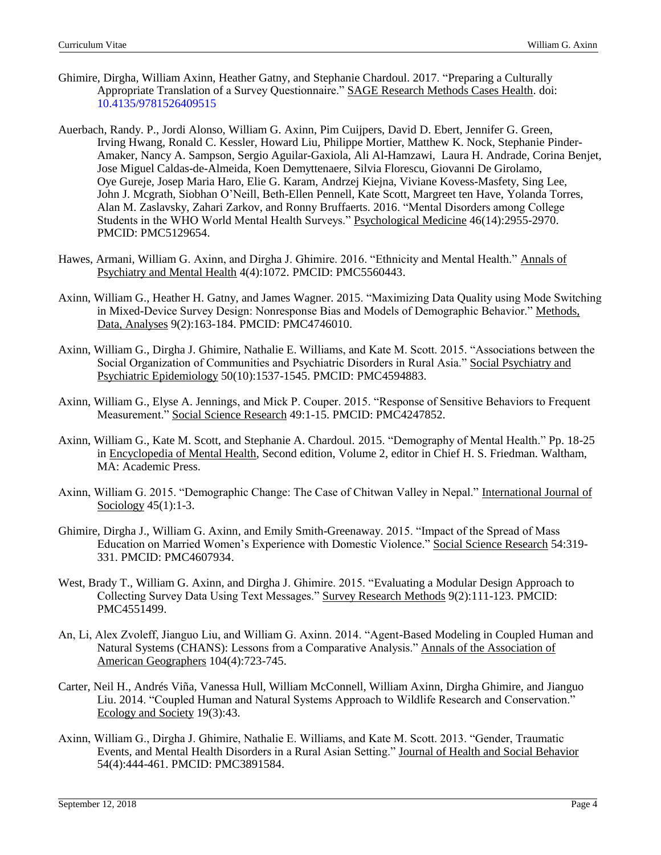- Ghimire, Dirgha, William Axinn, Heather Gatny, and Stephanie Chardoul. 2017. "Preparing a Culturally Appropriate Translation of a Survey Questionnaire." SAGE Research Methods Cases Health. doi: [10.4135/9781526409515](http://dx.doi.org/10.4135/9781526409515)
- Auerbach, Randy. P., Jordi Alonso, William G. Axinn, Pim Cuijpers, David D. Ebert, Jennifer G. Green, Irving Hwang, Ronald C. Kessler, Howard Liu, Philippe Mortier, Matthew K. Nock, Stephanie Pinder-Amaker, Nancy A. Sampson, Sergio Aguilar-Gaxiola, Ali Al-Hamzawi, Laura H. Andrade, Corina Benjet, Jose Miguel Caldas-de-Almeida, Koen Demyttenaere, Silvia Florescu, Giovanni De Girolamo, Oye Gureje, Josep Maria Haro, Elie G. Karam, Andrzej Kiejna, Viviane Kovess-Masfety, Sing Lee, John J. Mcgrath, Siobhan O'Neill, Beth-Ellen Pennell, Kate Scott, Margreet ten Have, Yolanda Torres, Alan M. Zaslavsky, Zahari Zarkov, and Ronny Bruffaerts. 2016. "Mental Disorders among College Students in the WHO World Mental Health Surveys." Psychological Medicine 46(14):2955-2970. PMCID: PMC5129654.
- Hawes, Armani, William G. Axinn, and Dirgha J. Ghimire. 2016. "Ethnicity and Mental Health." Annals of Psychiatry and Mental Health 4(4):1072. PMCID: [PMC5560443.](https://www.ncbi.nlm.nih.gov/pmc/articles/PMC5560443/)
- Axinn, William G., Heather H. Gatny, and James Wagner. 2015. "Maximizing Data Quality using Mode Switching in Mixed-Device Survey Design: Nonresponse Bias and Models of Demographic Behavior." Methods, Data, Analyses 9(2):163-184. PMCID: PMC4746010.
- Axinn, William G., Dirgha J. Ghimire, Nathalie E. Williams, and Kate M. Scott. 2015. "Associations between the Social Organization of Communities and Psychiatric Disorders in Rural Asia." Social Psychiatry and Psychiatric Epidemiology 50(10):1537-1545. PMCID: PMC4594883.
- Axinn, William G., Elyse A. Jennings, and Mick P. Couper. 2015. "Response of Sensitive Behaviors to Frequent Measurement." Social Science Research 49:1-15. PMCID: PMC4247852.
- Axinn, William G., Kate M. Scott, and Stephanie A. Chardoul. 2015. "Demography of Mental Health." Pp. 18-25 in Encyclopedia of Mental Health, Second edition, Volume 2, editor in Chief H. S. Friedman. Waltham, MA: Academic Press.
- Axinn, William G. 2015. "Demographic Change: The Case of Chitwan Valley in Nepal." International Journal of Sociology 45(1):1-3.
- Ghimire, Dirgha J., William G. Axinn, and Emily Smith-Greenaway. 2015. "Impact of the Spread of Mass Education on Married Women's Experience with Domestic Violence." Social Science Research 54:319- 331. PMCID: PMC4607934.
- West, Brady T., William G. Axinn, and Dirgha J. Ghimire. 2015. "Evaluating a Modular Design Approach to Collecting Survey Data Using Text Messages." Survey Research Methods 9(2):111-123. PMCID: PMC4551499.
- An, Li, Alex Zvoleff, Jianguo Liu, and William G. Axinn. 2014. "Agent-Based Modeling in Coupled Human and Natural Systems (CHANS): Lessons from a Comparative Analysis." Annals of the Association of American Geographers 104(4):723-745.
- Carter, Neil H., Andrés Viña, Vanessa Hull, William McConnell, William Axinn, Dirgha Ghimire, and Jianguo Liu. 2014. "Coupled Human and Natural Systems Approach to Wildlife Research and Conservation." Ecology and Society 19(3):43.
- Axinn, William G., Dirgha J. Ghimire, Nathalie E. Williams, and Kate M. Scott. 2013. "Gender, Traumatic Events, and Mental Health Disorders in a Rural Asian Setting." Journal of Health and Social Behavior 54(4):444-461. PMCID: PMC3891584.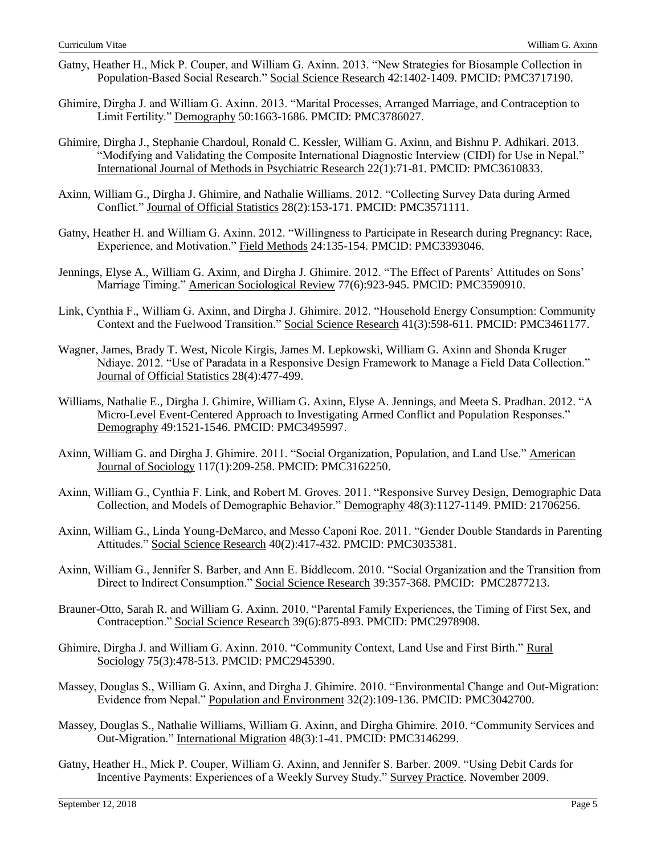- Gatny, Heather H., Mick P. Couper, and William G. Axinn. 2013. "New Strategies for Biosample Collection in Population-Based Social Research." Social Science Research 42:1402-1409. PMCID: PMC3717190.
- Ghimire, Dirgha J. and William G. Axinn. 2013. "Marital Processes, Arranged Marriage, and Contraception to Limit Fertility." Demography 50:1663-1686. PMCID: PMC3786027.
- Ghimire, Dirgha J., Stephanie Chardoul, Ronald C. Kessler, William G. Axinn, and Bishnu P. Adhikari. 2013. "Modifying and Validating the Composite International Diagnostic Interview (CIDI) for Use in Nepal." International Journal of Methods in Psychiatric Research 22(1):71-81. PMCID: PMC3610833.
- Axinn, William G., Dirgha J. Ghimire, and Nathalie Williams. 2012. "Collecting Survey Data during Armed Conflict." Journal of Official Statistics 28(2):153-171. PMCID: PMC3571111.
- Gatny, Heather H. and William G. Axinn. 2012. "Willingness to Participate in Research during Pregnancy: Race, Experience, and Motivation." Field Methods 24:135-154. PMCID: PMC3393046.
- Jennings, Elyse A., William G. Axinn, and Dirgha J. Ghimire. 2012. "The Effect of Parents' Attitudes on Sons' Marriage Timing." American Sociological Review 77(6):923-945. PMCID: PMC3590910.
- Link, Cynthia F., William G. Axinn, and Dirgha J. Ghimire. 2012. "Household Energy Consumption: Community Context and the Fuelwood Transition." Social Science Research 41(3):598-611. PMCID: PMC3461177.
- Wagner, James, Brady T. West, Nicole Kirgis, James M. Lepkowski, William G. Axinn and Shonda Kruger Ndiaye. 2012. "Use of Paradata in a Responsive Design Framework to Manage a Field Data Collection." Journal of Official Statistics 28(4):477-499.
- Williams, Nathalie E., Dirgha J. Ghimire, William G. Axinn, Elyse A. Jennings, and Meeta S. Pradhan. 2012. "A Micro-Level Event-Centered Approach to Investigating Armed Conflict and Population Responses." Demography 49:1521-1546. PMCID: PMC3495997.
- Axinn, William G. and Dirgha J. Ghimire. 2011. "Social Organization, Population, and Land Use." American Journal of Sociology 117(1):209-258. PMCID: PMC3162250.
- Axinn, William G., Cynthia F. Link, and Robert M. Groves. 2011. "Responsive Survey Design, Demographic Data Collection, and Models of Demographic Behavior." Demography 48(3):1127-1149. PMID: 21706256.
- Axinn, William G., Linda Young-DeMarco, and Messo Caponi Roe. 2011. "Gender Double Standards in Parenting Attitudes." Social Science Research 40(2):417-432. PMCID: PMC3035381.
- Axinn, William G., Jennifer S. Barber, and Ann E. Biddlecom. 2010. "Social Organization and the Transition from Direct to Indirect Consumption." Social Science Research 39:357-368. PMCID: PMC2877213.
- Brauner-Otto, Sarah R. and William G. Axinn. 2010. "Parental Family Experiences, the Timing of First Sex, and Contraception." Social Science Research 39(6):875-893. PMCID: PMC2978908.
- Ghimire, Dirgha J. and William G. Axinn. 2010. "Community Context, Land Use and First Birth." Rural Sociology 75(3):478-513. PMCID: PMC2945390.
- Massey, Douglas S., William G. Axinn, and Dirgha J. Ghimire. 2010. "Environmental Change and Out-Migration: Evidence from Nepal." Population and Environment 32(2):109-136. PMCID: PMC3042700.
- Massey, Douglas S., Nathalie Williams, William G. Axinn, and Dirgha Ghimire. 2010. "Community Services and Out-Migration." International Migration 48(3):1-41. PMCID: PMC3146299.
- Gatny, Heather H., Mick P. Couper, William G. Axinn, and Jennifer S. Barber. 2009. "Using Debit Cards for Incentive Payments: Experiences of a Weekly Survey Study." Survey Practice. November 2009.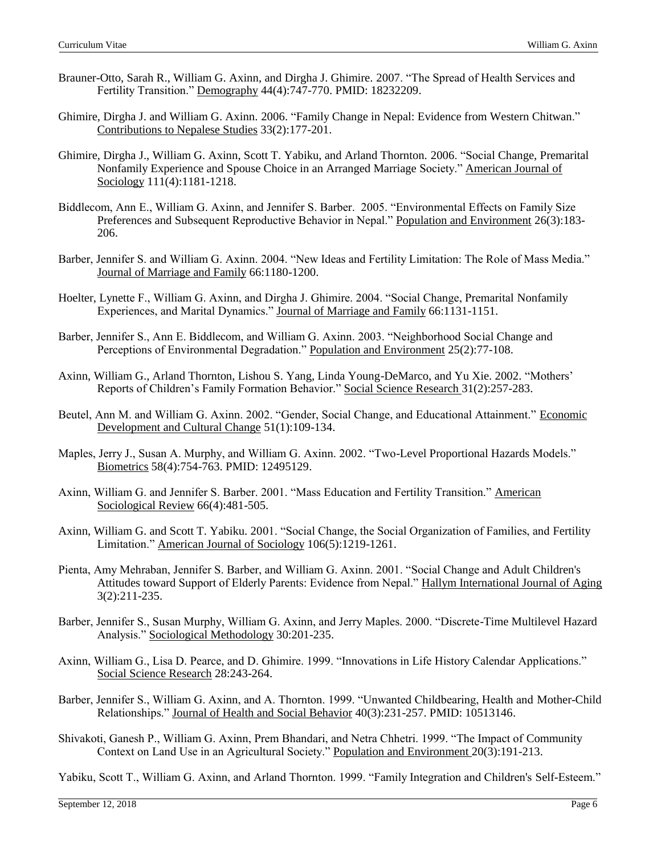- Brauner-Otto, Sarah R., William G. Axinn, and Dirgha J. Ghimire. 2007. "The Spread of Health Services and Fertility Transition." Demography 44(4):747-770. PMID: 18232209.
- Ghimire, Dirgha J. and William G. Axinn. 2006. "Family Change in Nepal: Evidence from Western Chitwan." Contributions to Nepalese Studies 33(2):177-201.
- Ghimire, Dirgha J., William G. Axinn, Scott T. Yabiku, and Arland Thornton. 2006. "Social Change, Premarital Nonfamily Experience and Spouse Choice in an Arranged Marriage Society." American Journal of Sociology 111(4):1181-1218.
- Biddlecom, Ann E., William G. Axinn, and Jennifer S. Barber. 2005. "Environmental Effects on Family Size Preferences and Subsequent Reproductive Behavior in Nepal." Population and Environment 26(3):183- 206.
- Barber, Jennifer S. and William G. Axinn. 2004. "New Ideas and Fertility Limitation: The Role of Mass Media." Journal of Marriage and Family 66:1180-1200.
- Hoelter, Lynette F., William G. Axinn, and Dirgha J. Ghimire. 2004. "Social Change, Premarital Nonfamily Experiences, and Marital Dynamics." Journal of Marriage and Family 66:1131-1151.
- Barber, Jennifer S., Ann E. Biddlecom, and William G. Axinn. 2003. "Neighborhood Social Change and Perceptions of Environmental Degradation." Population and Environment 25(2):77-108.
- Axinn, William G., Arland Thornton, Lishou S. Yang, Linda Young-DeMarco, and Yu Xie. 2002. "Mothers' Reports of Children's Family Formation Behavior." Social Science Research 31(2):257-283.
- Beutel, Ann M. and William G. Axinn. 2002. "Gender, Social Change, and Educational Attainment." Economic Development and Cultural Change 51(1):109-134.
- Maples, Jerry J., Susan A. Murphy, and William G. Axinn. 2002. "Two-Level Proportional Hazards Models." Biometrics 58(4):754-763. PMID: 12495129.
- Axinn, William G. and Jennifer S. Barber. 2001. "Mass Education and Fertility Transition." American Sociological Review 66(4):481-505.
- Axinn, William G. and Scott T. Yabiku. 2001. "Social Change, the Social Organization of Families, and Fertility Limitation." American Journal of Sociology 106(5):1219-1261.
- Pienta, Amy Mehraban, Jennifer S. Barber, and William G. Axinn. 2001. "Social Change and Adult Children's Attitudes toward Support of Elderly Parents: Evidence from Nepal." Hallym International Journal of Aging 3(2):211-235.
- Barber, Jennifer S., Susan Murphy, William G. Axinn, and Jerry Maples. 2000. "Discrete-Time Multilevel Hazard Analysis." Sociological Methodology 30:201-235.
- Axinn, William G., Lisa D. Pearce, and D. Ghimire. 1999. "Innovations in Life History Calendar Applications." Social Science Research 28:243-264.
- Barber, Jennifer S., William G. Axinn, and A. Thornton. 1999. "Unwanted Childbearing, Health and Mother-Child Relationships." Journal of Health and Social Behavior 40(3):231-257. PMID: 10513146.
- Shivakoti, Ganesh P., William G. Axinn, Prem Bhandari, and Netra Chhetri. 1999. "The Impact of Community Context on Land Use in an Agricultural Society." Population and Environment 20(3):191-213.

Yabiku, Scott T., William G. Axinn, and Arland Thornton. 1999. "Family Integration and Children's Self-Esteem."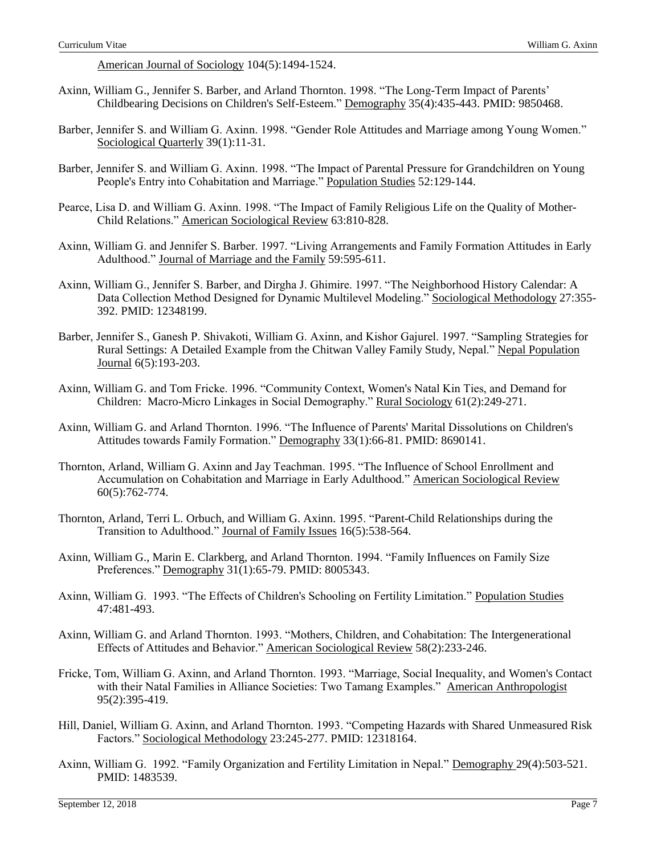American Journal of Sociology 104(5):1494-1524.

- Axinn, William G., Jennifer S. Barber, and Arland Thornton. 1998. "The Long-Term Impact of Parents' Childbearing Decisions on Children's Self-Esteem." Demography 35(4):435-443. PMID: 9850468.
- Barber, Jennifer S. and William G. Axinn. 1998. "Gender Role Attitudes and Marriage among Young Women." Sociological Quarterly 39(1):11-31.
- Barber, Jennifer S. and William G. Axinn. 1998. "The Impact of Parental Pressure for Grandchildren on Young People's Entry into Cohabitation and Marriage." Population Studies 52:129-144.
- Pearce, Lisa D. and William G. Axinn. 1998. "The Impact of Family Religious Life on the Quality of Mother-Child Relations." American Sociological Review 63:810-828.
- Axinn, William G. and Jennifer S. Barber. 1997. "Living Arrangements and Family Formation Attitudes in Early Adulthood." Journal of Marriage and the Family 59:595-611.
- Axinn, William G., Jennifer S. Barber, and Dirgha J. Ghimire. 1997. "The Neighborhood History Calendar: A Data Collection Method Designed for Dynamic Multilevel Modeling." Sociological Methodology 27:355- 392. PMID: 12348199.
- Barber, Jennifer S., Ganesh P. Shivakoti, William G. Axinn, and Kishor Gajurel. 1997. "Sampling Strategies for Rural Settings: A Detailed Example from the Chitwan Valley Family Study, Nepal." Nepal Population Journal 6(5):193-203.
- Axinn, William G. and Tom Fricke. 1996. "Community Context, Women's Natal Kin Ties, and Demand for Children: Macro-Micro Linkages in Social Demography." Rural Sociology 61(2):249-271.
- Axinn, William G. and Arland Thornton. 1996. "The Influence of Parents' Marital Dissolutions on Children's Attitudes towards Family Formation." Demography 33(1):66-81. PMID: 8690141.
- Thornton, Arland, William G. Axinn and Jay Teachman. 1995. "The Influence of School Enrollment and Accumulation on Cohabitation and Marriage in Early Adulthood." American Sociological Review 60(5):762-774.
- Thornton, Arland, Terri L. Orbuch, and William G. Axinn. 1995. "Parent-Child Relationships during the Transition to Adulthood." Journal of Family Issues 16(5):538-564.
- Axinn, William G., Marin E. Clarkberg, and Arland Thornton. 1994. "Family Influences on Family Size Preferences." Demography 31(1):65-79. PMID: 8005343.
- Axinn, William G. 1993. "The Effects of Children's Schooling on Fertility Limitation." Population Studies 47:481-493.
- Axinn, William G. and Arland Thornton. 1993. "Mothers, Children, and Cohabitation: The Intergenerational Effects of Attitudes and Behavior." American Sociological Review 58(2):233-246.
- Fricke, Tom, William G. Axinn, and Arland Thornton. 1993. "Marriage, Social Inequality, and Women's Contact with their Natal Families in Alliance Societies: Two Tamang Examples." American Anthropologist 95(2):395-419.
- Hill, Daniel, William G. Axinn, and Arland Thornton. 1993. "Competing Hazards with Shared Unmeasured Risk Factors." Sociological Methodology 23:245-277. PMID: 12318164.
- Axinn, William G. 1992. "Family Organization and Fertility Limitation in Nepal." Demography 29(4):503-521. PMID: 1483539.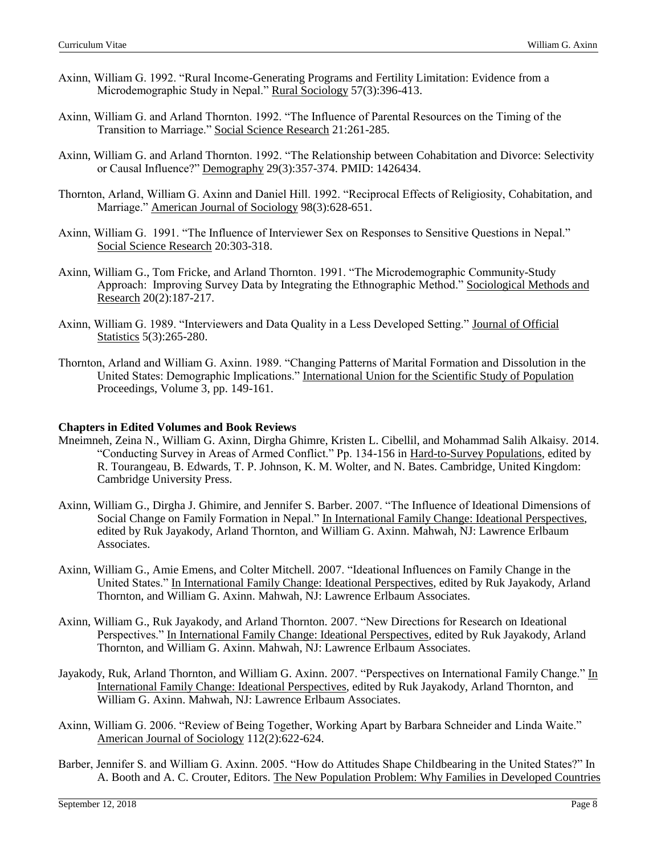- Axinn, William G. 1992. "Rural Income-Generating Programs and Fertility Limitation: Evidence from a Microdemographic Study in Nepal." Rural Sociology 57(3):396-413.
- Axinn, William G. and Arland Thornton. 1992. "The Influence of Parental Resources on the Timing of the Transition to Marriage." Social Science Research 21:261-285.
- Axinn, William G. and Arland Thornton. 1992. "The Relationship between Cohabitation and Divorce: Selectivity or Causal Influence?" Demography 29(3):357-374. PMID: 1426434.
- Thornton, Arland, William G. Axinn and Daniel Hill. 1992. "Reciprocal Effects of Religiosity, Cohabitation, and Marriage." American Journal of Sociology 98(3):628-651.
- Axinn, William G. 1991. "The Influence of Interviewer Sex on Responses to Sensitive Questions in Nepal." Social Science Research 20:303-318.
- Axinn, William G., Tom Fricke, and Arland Thornton. 1991. "The Microdemographic Community-Study Approach: Improving Survey Data by Integrating the Ethnographic Method." Sociological Methods and Research 20(2):187-217.
- Axinn, William G. 1989. "Interviewers and Data Quality in a Less Developed Setting." Journal of Official Statistics 5(3):265-280.
- Thornton, Arland and William G. Axinn. 1989. "Changing Patterns of Marital Formation and Dissolution in the United States: Demographic Implications." International Union for the Scientific Study of Population Proceedings, Volume 3, pp. 149-161.

#### **Chapters in Edited Volumes and Book Reviews**

- Mneimneh, Zeina N., William G. Axinn, Dirgha Ghimre, Kristen L. Cibellil, and Mohammad Salih Alkaisy. 2014. "Conducting Survey in Areas of Armed Conflict." Pp. 134-156 in Hard-to-Survey Populations, edited by R. Tourangeau, B. Edwards, T. P. Johnson, K. M. Wolter, and N. Bates. Cambridge, United Kingdom: Cambridge University Press.
- Axinn, William G., Dirgha J. Ghimire, and Jennifer S. Barber. 2007. "The Influence of Ideational Dimensions of Social Change on Family Formation in Nepal." In International Family Change: Ideational Perspectives, edited by Ruk Jayakody, Arland Thornton, and William G. Axinn. Mahwah, NJ: Lawrence Erlbaum Associates.
- Axinn, William G., Amie Emens, and Colter Mitchell. 2007. "Ideational Influences on Family Change in the United States." In International Family Change: Ideational Perspectives, edited by Ruk Jayakody, Arland Thornton, and William G. Axinn. Mahwah, NJ: Lawrence Erlbaum Associates.
- Axinn, William G., Ruk Jayakody, and Arland Thornton. 2007. "New Directions for Research on Ideational Perspectives." In International Family Change: Ideational Perspectives, edited by Ruk Jayakody, Arland Thornton, and William G. Axinn. Mahwah, NJ: Lawrence Erlbaum Associates.
- Jayakody, Ruk, Arland Thornton, and William G. Axinn. 2007. "Perspectives on International Family Change." In International Family Change: Ideational Perspectives, edited by Ruk Jayakody, Arland Thornton, and William G. Axinn. Mahwah, NJ: Lawrence Erlbaum Associates.
- Axinn, William G. 2006. "Review of Being Together, Working Apart by Barbara Schneider and Linda Waite." American Journal of Sociology 112(2):622-624.
- Barber, Jennifer S. and William G. Axinn. 2005. "How do Attitudes Shape Childbearing in the United States?" In A. Booth and A. C. Crouter, Editors. The New Population Problem: Why Families in Developed Countries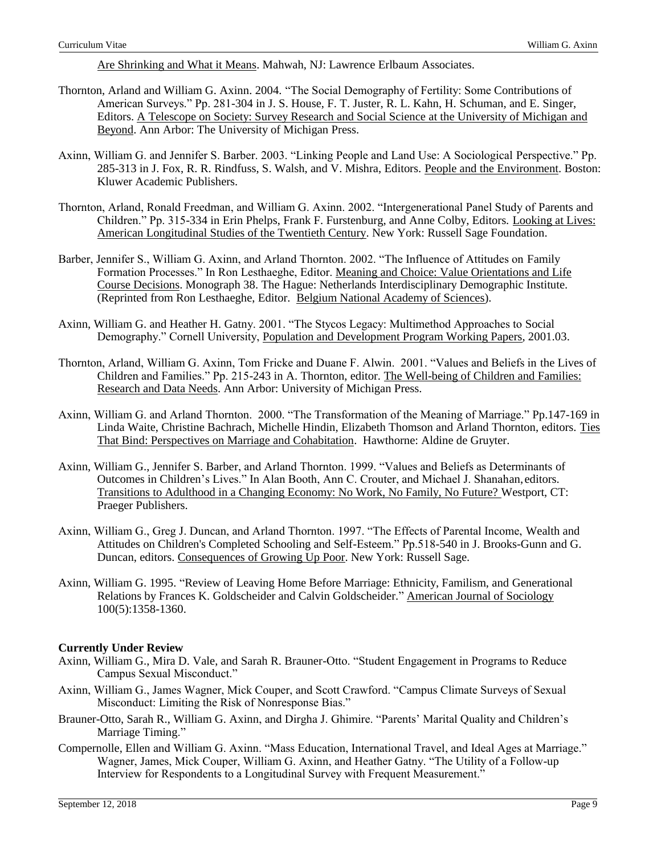Are Shrinking and What it Means. Mahwah, NJ: Lawrence Erlbaum Associates.

- Thornton, Arland and William G. Axinn. 2004. "The Social Demography of Fertility: Some Contributions of American Surveys." Pp. 281-304 in J. S. House, F. T. Juster, R. L. Kahn, H. Schuman, and E. Singer, Editors. A Telescope on Society: Survey Research and Social Science at the University of Michigan and Beyond. Ann Arbor: The University of Michigan Press.
- Axinn, William G. and Jennifer S. Barber. 2003. "Linking People and Land Use: A Sociological Perspective." Pp. 285-313 in J. Fox, R. R. Rindfuss, S. Walsh, and V. Mishra, Editors. People and the Environment. Boston: Kluwer Academic Publishers.
- Thornton, Arland, Ronald Freedman, and William G. Axinn. 2002. "Intergenerational Panel Study of Parents and Children." Pp. 315-334 in Erin Phelps, Frank F. Furstenburg, and Anne Colby, Editors. Looking at Lives: American Longitudinal Studies of the Twentieth Century. New York: Russell Sage Foundation.
- Barber, Jennifer S., William G. Axinn, and Arland Thornton. 2002. "The Influence of Attitudes on Family Formation Processes." In Ron Lesthaeghe, Editor. Meaning and Choice: Value Orientations and Life Course Decisions. Monograph 38. The Hague: Netherlands Interdisciplinary Demographic Institute. (Reprinted from Ron Lesthaeghe, Editor. Belgium National Academy of Sciences).
- Axinn, William G. and Heather H. Gatny. 2001. "The Stycos Legacy: Multimethod Approaches to Social Demography." Cornell University, Population and Development Program Working Papers, 2001.03.
- Thornton, Arland, William G. Axinn, Tom Fricke and Duane F. Alwin. 2001. "Values and Beliefs in the Lives of Children and Families." Pp. 215-243 in A. Thornton, editor. The Well-being of Children and Families: Research and Data Needs. Ann Arbor: University of Michigan Press.
- Axinn, William G. and Arland Thornton. 2000. "The Transformation of the Meaning of Marriage." Pp.147-169 in Linda Waite, Christine Bachrach, Michelle Hindin, Elizabeth Thomson and Arland Thornton, editors. Ties That Bind: Perspectives on Marriage and Cohabitation. Hawthorne: Aldine de Gruyter.
- Axinn, William G., Jennifer S. Barber, and Arland Thornton. 1999. "Values and Beliefs as Determinants of Outcomes in Children's Lives." In Alan Booth, Ann C. Crouter, and Michael J. Shanahan, editors. Transitions to Adulthood in a Changing Economy: No Work, No Family, No Future? Westport, CT: Praeger Publishers.
- Axinn, William G., Greg J. Duncan, and Arland Thornton. 1997. "The Effects of Parental Income, Wealth and Attitudes on Children's Completed Schooling and Self-Esteem." Pp.518-540 in J. Brooks-Gunn and G. Duncan, editors. Consequences of Growing Up Poor. New York: Russell Sage.
- Axinn, William G. 1995. "Review of Leaving Home Before Marriage: Ethnicity, Familism, and Generational Relations by Frances K. Goldscheider and Calvin Goldscheider." American Journal of Sociology 100(5):1358-1360.

## **Currently Under Review**

- Axinn, William G., Mira D. Vale, and Sarah R. Brauner-Otto. "Student Engagement in Programs to Reduce Campus Sexual Misconduct."
- Axinn, William G., James Wagner, Mick Couper, and Scott Crawford. "Campus Climate Surveys of Sexual Misconduct: Limiting the Risk of Nonresponse Bias."
- Brauner-Otto, Sarah R., William G. Axinn, and Dirgha J. Ghimire. "Parents' Marital Quality and Children's Marriage Timing."
- Compernolle, Ellen and William G. Axinn. "Mass Education, International Travel, and Ideal Ages at Marriage." Wagner, James, Mick Couper, William G. Axinn, and Heather Gatny. "The Utility of a Follow-up Interview for Respondents to a Longitudinal Survey with Frequent Measurement."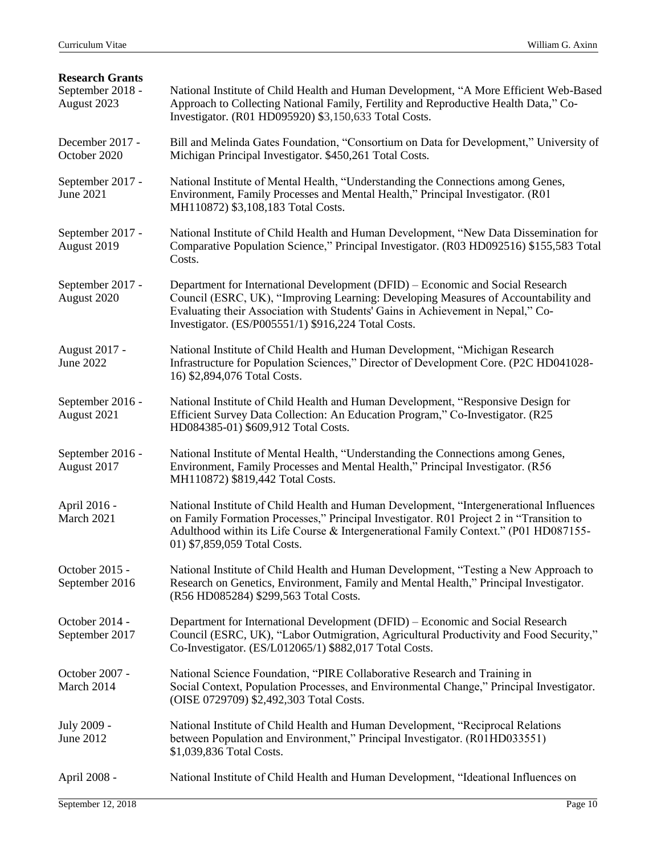| <b>Research Grants</b><br>September 2018 -<br>August 2023 | National Institute of Child Health and Human Development, "A More Efficient Web-Based<br>Approach to Collecting National Family, Fertility and Reproductive Health Data," Co-<br>Investigator. (R01 HD095920) \$3,150,633 Total Costs.                                                                         |
|-----------------------------------------------------------|----------------------------------------------------------------------------------------------------------------------------------------------------------------------------------------------------------------------------------------------------------------------------------------------------------------|
| December 2017 -<br>October 2020                           | Bill and Melinda Gates Foundation, "Consortium on Data for Development," University of<br>Michigan Principal Investigator. \$450,261 Total Costs.                                                                                                                                                              |
| September 2017 -<br><b>June 2021</b>                      | National Institute of Mental Health, "Understanding the Connections among Genes,<br>Environment, Family Processes and Mental Health," Principal Investigator. (R01)<br>MH110872) \$3,108,183 Total Costs.                                                                                                      |
| September 2017 -<br>August 2019                           | National Institute of Child Health and Human Development, "New Data Dissemination for<br>Comparative Population Science," Principal Investigator. (R03 HD092516) \$155,583 Total<br>Costs.                                                                                                                     |
| September 2017 -<br>August 2020                           | Department for International Development (DFID) – Economic and Social Research<br>Council (ESRC, UK), "Improving Learning: Developing Measures of Accountability and<br>Evaluating their Association with Students' Gains in Achievement in Nepal," Co-<br>Investigator. (ES/P005551/1) \$916,224 Total Costs. |
| August 2017 -<br><b>June 2022</b>                         | National Institute of Child Health and Human Development, "Michigan Research"<br>Infrastructure for Population Sciences," Director of Development Core. (P2C HD041028-<br>16) \$2,894,076 Total Costs.                                                                                                         |
| September 2016 -<br>August 2021                           | National Institute of Child Health and Human Development, "Responsive Design for<br>Efficient Survey Data Collection: An Education Program," Co-Investigator. (R25<br>HD084385-01) \$609,912 Total Costs.                                                                                                      |
| September 2016 -<br>August 2017                           | National Institute of Mental Health, "Understanding the Connections among Genes,<br>Environment, Family Processes and Mental Health," Principal Investigator. (R56<br>MH110872) \$819,442 Total Costs.                                                                                                         |
| April 2016 -<br>March 2021                                | National Institute of Child Health and Human Development, "Intergenerational Influences<br>on Family Formation Processes," Principal Investigator. R01 Project 2 in "Transition to<br>Adulthood within its Life Course & Intergenerational Family Context." (P01 HD087155-<br>01) \$7,859,059 Total Costs.     |
| October 2015 -<br>September 2016                          | National Institute of Child Health and Human Development, "Testing a New Approach to<br>Research on Genetics, Environment, Family and Mental Health," Principal Investigator.<br>(R56 HD085284) \$299,563 Total Costs.                                                                                         |
| October 2014 -<br>September 2017                          | Department for International Development (DFID) – Economic and Social Research<br>Council (ESRC, UK), "Labor Outmigration, Agricultural Productivity and Food Security,"<br>Co-Investigator. (ES/L012065/1) \$882,017 Total Costs.                                                                             |
| October 2007 -<br>March 2014                              | National Science Foundation, "PIRE Collaborative Research and Training in<br>Social Context, Population Processes, and Environmental Change," Principal Investigator.<br>(OISE 0729709) \$2,492,303 Total Costs.                                                                                               |
| July 2009 -<br>June 2012                                  | National Institute of Child Health and Human Development, "Reciprocal Relations<br>between Population and Environment," Principal Investigator. (R01HD033551)<br>\$1,039,836 Total Costs.                                                                                                                      |
| April 2008 -                                              | National Institute of Child Health and Human Development, "Ideational Influences on                                                                                                                                                                                                                            |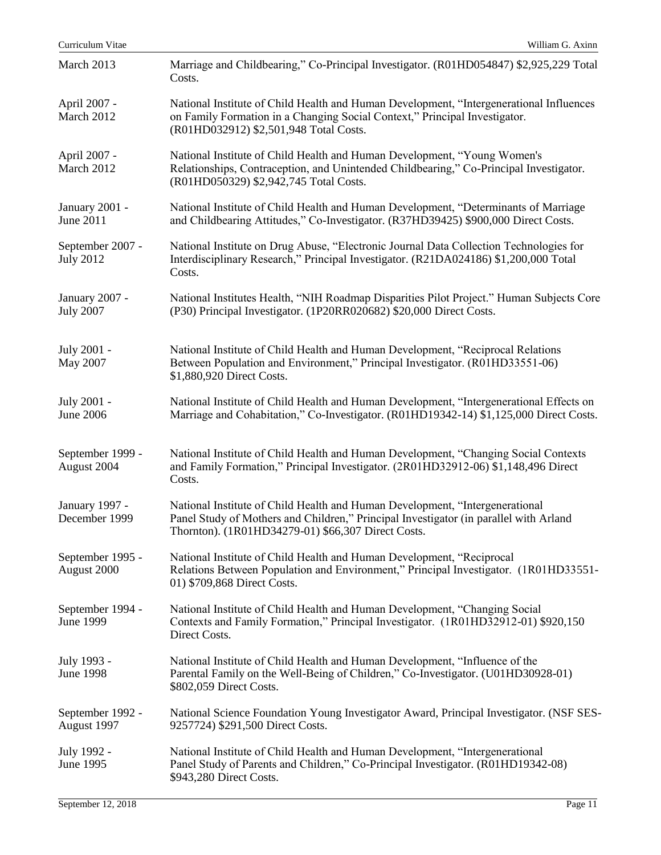| Curriculum Vitae                     | William G. Axinn                                                                                                                                                                                                            |
|--------------------------------------|-----------------------------------------------------------------------------------------------------------------------------------------------------------------------------------------------------------------------------|
| March 2013                           | Marriage and Childbearing," Co-Principal Investigator. (R01HD054847) \$2,925,229 Total<br>Costs.                                                                                                                            |
| April 2007 -<br>March 2012           | National Institute of Child Health and Human Development, "Intergenerational Influences<br>on Family Formation in a Changing Social Context," Principal Investigator.<br>(R01HD032912) \$2,501,948 Total Costs.             |
| April 2007 -<br>March 2012           | National Institute of Child Health and Human Development, "Young Women's<br>Relationships, Contraception, and Unintended Childbearing," Co-Principal Investigator.<br>(R01HD050329) \$2,942,745 Total Costs.                |
| January 2001 -<br>June 2011          | National Institute of Child Health and Human Development, "Determinants of Marriage<br>and Childbearing Attitudes," Co-Investigator. (R37HD39425) \$900,000 Direct Costs.                                                   |
| September 2007 -<br><b>July 2012</b> | National Institute on Drug Abuse, "Electronic Journal Data Collection Technologies for<br>Interdisciplinary Research," Principal Investigator. (R21DA024186) \$1,200,000 Total<br>Costs.                                    |
| January 2007 -<br><b>July 2007</b>   | National Institutes Health, "NIH Roadmap Disparities Pilot Project." Human Subjects Core<br>(P30) Principal Investigator. (1P20RR020682) \$20,000 Direct Costs.                                                             |
| July 2001 -<br>May 2007              | National Institute of Child Health and Human Development, "Reciprocal Relations<br>Between Population and Environment," Principal Investigator. (R01HD33551-06)<br>\$1,880,920 Direct Costs.                                |
| July 2001 -<br>June 2006             | National Institute of Child Health and Human Development, "Intergenerational Effects on<br>Marriage and Cohabitation," Co-Investigator. (R01HD19342-14) \$1,125,000 Direct Costs.                                           |
| September 1999 -<br>August 2004      | National Institute of Child Health and Human Development, "Changing Social Contexts<br>and Family Formation," Principal Investigator. (2R01HD32912-06) \$1,148,496 Direct<br>Costs.                                         |
| January 1997 -<br>December 1999      | National Institute of Child Health and Human Development, "Intergenerational<br>Panel Study of Mothers and Children," Principal Investigator (in parallel with Arland<br>Thornton). (1R01HD34279-01) \$66,307 Direct Costs. |
| September 1995 -<br>August 2000      | National Institute of Child Health and Human Development, "Reciprocal<br>Relations Between Population and Environment," Principal Investigator. (1R01HD33551-<br>01) \$709,868 Direct Costs.                                |
| September 1994 -<br><b>June 1999</b> | National Institute of Child Health and Human Development, "Changing Social<br>Contexts and Family Formation," Principal Investigator. (1R01HD32912-01) \$920,150<br>Direct Costs.                                           |
| July 1993 -<br><b>June 1998</b>      | National Institute of Child Health and Human Development, "Influence of the<br>Parental Family on the Well-Being of Children," Co-Investigator. (U01HD30928-01)<br>\$802,059 Direct Costs.                                  |
| September 1992 -<br>August 1997      | National Science Foundation Young Investigator Award, Principal Investigator. (NSF SES-<br>9257724) \$291,500 Direct Costs.                                                                                                 |
| July 1992 -<br>June 1995             | National Institute of Child Health and Human Development, "Intergenerational<br>Panel Study of Parents and Children," Co-Principal Investigator. (R01HD19342-08)<br>\$943,280 Direct Costs.                                 |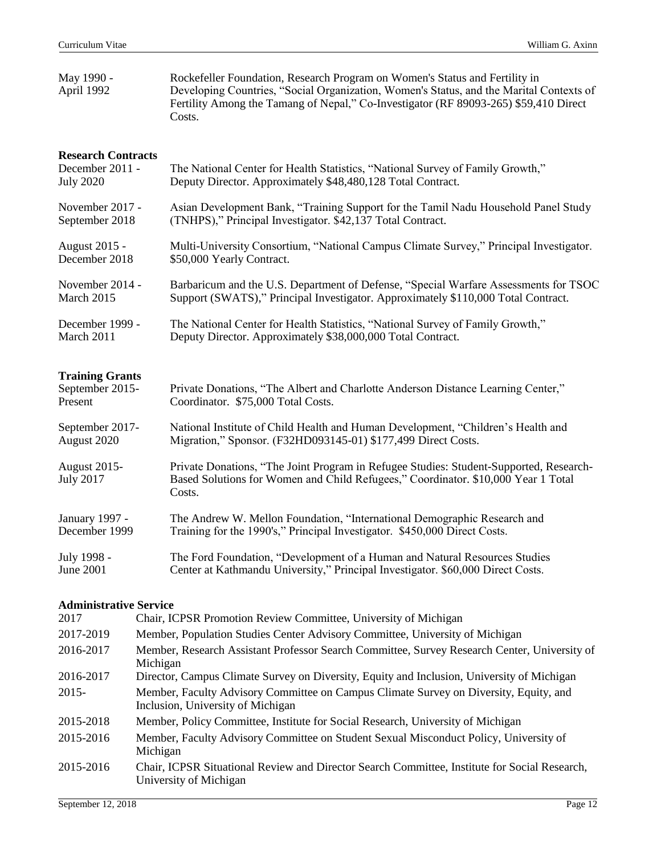| May 1990 -<br>April 1992                                         | Rockefeller Foundation, Research Program on Women's Status and Fertility in<br>Developing Countries, "Social Organization, Women's Status, and the Marital Contexts of<br>Fertility Among the Tamang of Nepal," Co-Investigator (RF 89093-265) \$59,410 Direct<br>Costs. |
|------------------------------------------------------------------|--------------------------------------------------------------------------------------------------------------------------------------------------------------------------------------------------------------------------------------------------------------------------|
| <b>Research Contracts</b><br>December 2011 -<br><b>July 2020</b> | The National Center for Health Statistics, "National Survey of Family Growth,"<br>Deputy Director. Approximately \$48,480,128 Total Contract.                                                                                                                            |
| November 2017 -                                                  | Asian Development Bank, "Training Support for the Tamil Nadu Household Panel Study                                                                                                                                                                                       |
| September 2018                                                   | (TNHPS)," Principal Investigator. \$42,137 Total Contract.                                                                                                                                                                                                               |
| August 2015 -                                                    | Multi-University Consortium, "National Campus Climate Survey," Principal Investigator.                                                                                                                                                                                   |
| December 2018                                                    | \$50,000 Yearly Contract.                                                                                                                                                                                                                                                |
| November 2014 -                                                  | Barbaricum and the U.S. Department of Defense, "Special Warfare Assessments for TSOC                                                                                                                                                                                     |
| March 2015                                                       | Support (SWATS)," Principal Investigator. Approximately \$110,000 Total Contract.                                                                                                                                                                                        |
| December 1999 -                                                  | The National Center for Health Statistics, "National Survey of Family Growth,"                                                                                                                                                                                           |
| March 2011                                                       | Deputy Director. Approximately \$38,000,000 Total Contract.                                                                                                                                                                                                              |
| <b>Training Grants</b><br>September 2015-<br>Present             | Private Donations, "The Albert and Charlotte Anderson Distance Learning Center,"<br>Coordinator. \$75,000 Total Costs.                                                                                                                                                   |
| September 2017-                                                  | National Institute of Child Health and Human Development, "Children's Health and                                                                                                                                                                                         |
| August 2020                                                      | Migration," Sponsor. (F32HD093145-01) \$177,499 Direct Costs.                                                                                                                                                                                                            |
| <b>August 2015-</b><br><b>July 2017</b>                          | Private Donations, "The Joint Program in Refugee Studies: Student-Supported, Research-<br>Based Solutions for Women and Child Refugees," Coordinator. \$10,000 Year 1 Total<br>Costs.                                                                                    |
| January 1997 -                                                   | The Andrew W. Mellon Foundation, "International Demographic Research and                                                                                                                                                                                                 |
| December 1999                                                    | Training for the 1990's," Principal Investigator. \$450,000 Direct Costs.                                                                                                                                                                                                |
| July 1998 -                                                      | The Ford Foundation, "Development of a Human and Natural Resources Studies                                                                                                                                                                                               |
| <b>June 2001</b>                                                 | Center at Kathmandu University," Principal Investigator. \$60,000 Direct Costs.                                                                                                                                                                                          |

# **Administrative Service**

| 2017      | Chair, ICPSR Promotion Review Committee, University of Michigan                                                            |
|-----------|----------------------------------------------------------------------------------------------------------------------------|
| 2017-2019 | Member, Population Studies Center Advisory Committee, University of Michigan                                               |
| 2016-2017 | Member, Research Assistant Professor Search Committee, Survey Research Center, University of<br>Michigan                   |
| 2016-2017 | Director, Campus Climate Survey on Diversity, Equity and Inclusion, University of Michigan                                 |
| $2015 -$  | Member, Faculty Advisory Committee on Campus Climate Survey on Diversity, Equity, and<br>Inclusion, University of Michigan |
| 2015-2018 | Member, Policy Committee, Institute for Social Research, University of Michigan                                            |
| 2015-2016 | Member, Faculty Advisory Committee on Student Sexual Misconduct Policy, University of<br>Michigan                          |
| 2015-2016 | Chair, ICPSR Situational Review and Director Search Committee, Institute for Social Research,<br>University of Michigan    |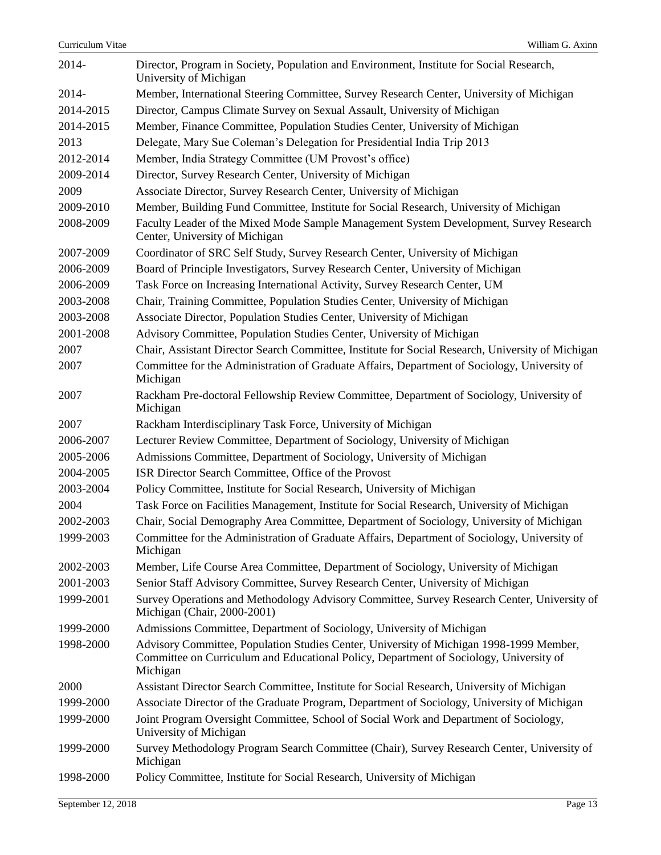| 2014-     | Director, Program in Society, Population and Environment, Institute for Social Research,<br>University of Michigan                                                                            |
|-----------|-----------------------------------------------------------------------------------------------------------------------------------------------------------------------------------------------|
| 2014-     | Member, International Steering Committee, Survey Research Center, University of Michigan                                                                                                      |
| 2014-2015 | Director, Campus Climate Survey on Sexual Assault, University of Michigan                                                                                                                     |
| 2014-2015 | Member, Finance Committee, Population Studies Center, University of Michigan                                                                                                                  |
| 2013      | Delegate, Mary Sue Coleman's Delegation for Presidential India Trip 2013                                                                                                                      |
| 2012-2014 | Member, India Strategy Committee (UM Provost's office)                                                                                                                                        |
| 2009-2014 | Director, Survey Research Center, University of Michigan                                                                                                                                      |
| 2009      | Associate Director, Survey Research Center, University of Michigan                                                                                                                            |
| 2009-2010 | Member, Building Fund Committee, Institute for Social Research, University of Michigan                                                                                                        |
| 2008-2009 | Faculty Leader of the Mixed Mode Sample Management System Development, Survey Research<br>Center, University of Michigan                                                                      |
| 2007-2009 | Coordinator of SRC Self Study, Survey Research Center, University of Michigan                                                                                                                 |
| 2006-2009 | Board of Principle Investigators, Survey Research Center, University of Michigan                                                                                                              |
| 2006-2009 | Task Force on Increasing International Activity, Survey Research Center, UM                                                                                                                   |
| 2003-2008 | Chair, Training Committee, Population Studies Center, University of Michigan                                                                                                                  |
| 2003-2008 | Associate Director, Population Studies Center, University of Michigan                                                                                                                         |
| 2001-2008 | Advisory Committee, Population Studies Center, University of Michigan                                                                                                                         |
| 2007      | Chair, Assistant Director Search Committee, Institute for Social Research, University of Michigan                                                                                             |
| 2007      | Committee for the Administration of Graduate Affairs, Department of Sociology, University of<br>Michigan                                                                                      |
| 2007      | Rackham Pre-doctoral Fellowship Review Committee, Department of Sociology, University of<br>Michigan                                                                                          |
| 2007      | Rackham Interdisciplinary Task Force, University of Michigan                                                                                                                                  |
| 2006-2007 | Lecturer Review Committee, Department of Sociology, University of Michigan                                                                                                                    |
| 2005-2006 | Admissions Committee, Department of Sociology, University of Michigan                                                                                                                         |
| 2004-2005 | ISR Director Search Committee, Office of the Provost                                                                                                                                          |
| 2003-2004 | Policy Committee, Institute for Social Research, University of Michigan                                                                                                                       |
| 2004      | Task Force on Facilities Management, Institute for Social Research, University of Michigan                                                                                                    |
| 2002-2003 | Chair, Social Demography Area Committee, Department of Sociology, University of Michigan                                                                                                      |
| 1999-2003 | Committee for the Administration of Graduate Affairs, Department of Sociology, University of<br>Michigan                                                                                      |
| 2002-2003 | Member, Life Course Area Committee, Department of Sociology, University of Michigan                                                                                                           |
| 2001-2003 | Senior Staff Advisory Committee, Survey Research Center, University of Michigan                                                                                                               |
| 1999-2001 | Survey Operations and Methodology Advisory Committee, Survey Research Center, University of<br>Michigan (Chair, 2000-2001)                                                                    |
| 1999-2000 | Admissions Committee, Department of Sociology, University of Michigan                                                                                                                         |
| 1998-2000 | Advisory Committee, Population Studies Center, University of Michigan 1998-1999 Member,<br>Committee on Curriculum and Educational Policy, Department of Sociology, University of<br>Michigan |
| 2000      | Assistant Director Search Committee, Institute for Social Research, University of Michigan                                                                                                    |
| 1999-2000 | Associate Director of the Graduate Program, Department of Sociology, University of Michigan                                                                                                   |
| 1999-2000 | Joint Program Oversight Committee, School of Social Work and Department of Sociology,<br>University of Michigan                                                                               |
| 1999-2000 | Survey Methodology Program Search Committee (Chair), Survey Research Center, University of<br>Michigan                                                                                        |
| 1998-2000 | Policy Committee, Institute for Social Research, University of Michigan                                                                                                                       |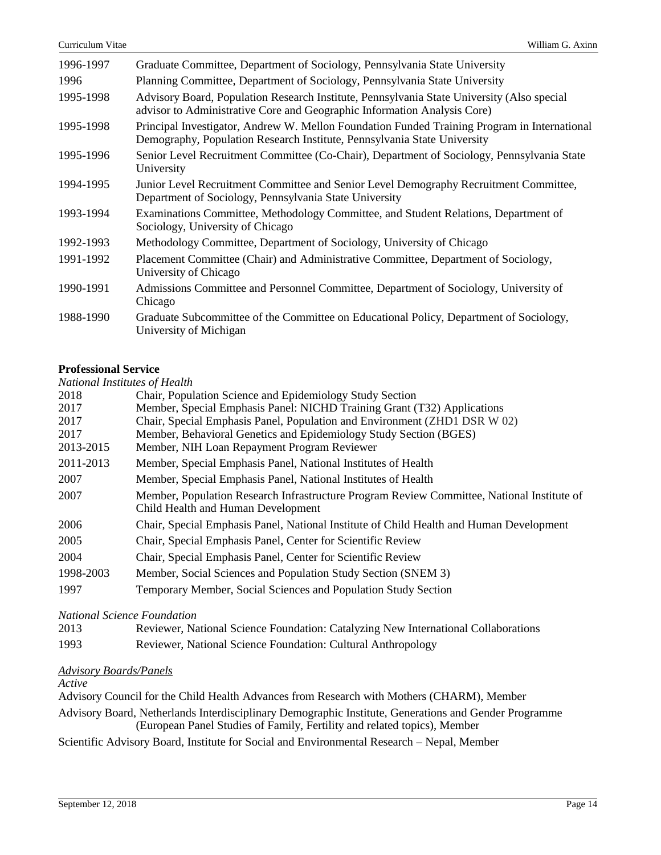| 1996-1997 | Graduate Committee, Department of Sociology, Pennsylvania State University                                                                                               |
|-----------|--------------------------------------------------------------------------------------------------------------------------------------------------------------------------|
| 1996      | Planning Committee, Department of Sociology, Pennsylvania State University                                                                                               |
| 1995-1998 | Advisory Board, Population Research Institute, Pennsylvania State University (Also special<br>advisor to Administrative Core and Geographic Information Analysis Core)   |
| 1995-1998 | Principal Investigator, Andrew W. Mellon Foundation Funded Training Program in International<br>Demography, Population Research Institute, Pennsylvania State University |
| 1995-1996 | Senior Level Recruitment Committee (Co-Chair), Department of Sociology, Pennsylvania State<br>University                                                                 |
| 1994-1995 | Junior Level Recruitment Committee and Senior Level Demography Recruitment Committee,<br>Department of Sociology, Pennsylvania State University                          |
| 1993-1994 | Examinations Committee, Methodology Committee, and Student Relations, Department of<br>Sociology, University of Chicago                                                  |
| 1992-1993 | Methodology Committee, Department of Sociology, University of Chicago                                                                                                    |
| 1991-1992 | Placement Committee (Chair) and Administrative Committee, Department of Sociology,<br>University of Chicago                                                              |
| 1990-1991 | Admissions Committee and Personnel Committee, Department of Sociology, University of<br>Chicago                                                                          |
| 1988-1990 | Graduate Subcommittee of the Committee on Educational Policy, Department of Sociology,<br>University of Michigan                                                         |

# **Professional Service**

*National Institutes of Health*

| There is a servered of Hours |                                                                                                                                  |
|------------------------------|----------------------------------------------------------------------------------------------------------------------------------|
| 2018                         | Chair, Population Science and Epidemiology Study Section                                                                         |
| 2017                         | Member, Special Emphasis Panel: NICHD Training Grant (T32) Applications                                                          |
| 2017                         | Chair, Special Emphasis Panel, Population and Environment (ZHD1 DSR W 02)                                                        |
| 2017                         | Member, Behavioral Genetics and Epidemiology Study Section (BGES)                                                                |
| 2013-2015                    | Member, NIH Loan Repayment Program Reviewer                                                                                      |
| 2011-2013                    | Member, Special Emphasis Panel, National Institutes of Health                                                                    |
| 2007                         | Member, Special Emphasis Panel, National Institutes of Health                                                                    |
| 2007                         | Member, Population Research Infrastructure Program Review Committee, National Institute of<br>Child Health and Human Development |
| 2006                         | Chair, Special Emphasis Panel, National Institute of Child Health and Human Development                                          |
| 2005                         | Chair, Special Emphasis Panel, Center for Scientific Review                                                                      |
| 2004                         | Chair, Special Emphasis Panel, Center for Scientific Review                                                                      |
| 1998-2003                    | Member, Social Sciences and Population Study Section (SNEM 3)                                                                    |
| 1997                         | Temporary Member, Social Sciences and Population Study Section                                                                   |
|                              |                                                                                                                                  |

*National Science Foundation*

| 2013 |  |  |  | Reviewer, National Science Foundation: Catalyzing New International Collaborations |
|------|--|--|--|------------------------------------------------------------------------------------|
|      |  |  |  |                                                                                    |

1993 Reviewer, National Science Foundation: Cultural Anthropology

# *Advisory Boards/Panels*

*Active*

Advisory Council for the Child Health Advances from Research with Mothers (CHARM), Member

Advisory Board, Netherlands Interdisciplinary Demographic Institute, Generations and Gender Programme (European Panel Studies of Family, Fertility and related topics), Member

Scientific Advisory Board, Institute for Social and Environmental Research – Nepal, Member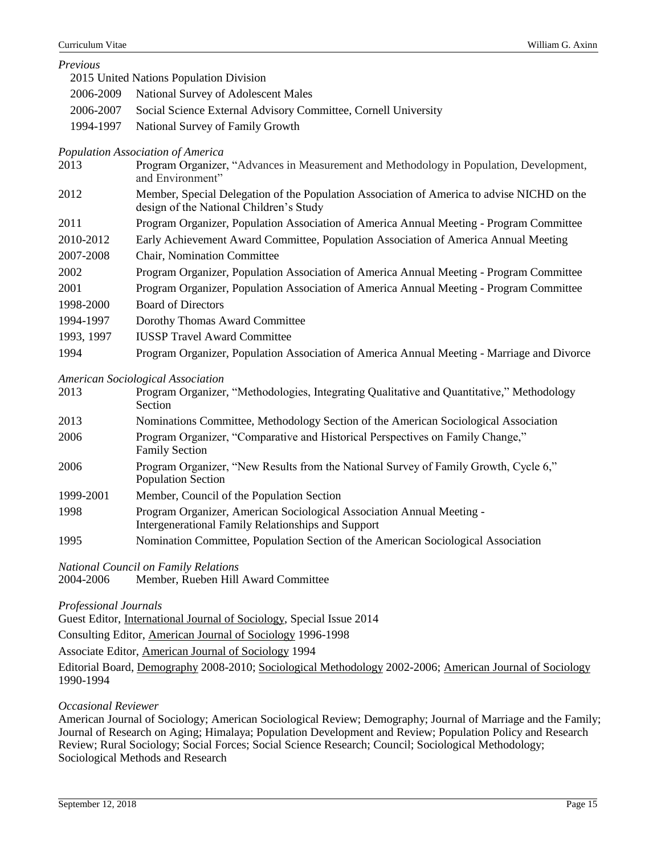*Previous*

|           | 2015 United Nations Population Division                        |
|-----------|----------------------------------------------------------------|
|           | 2006-2009 National Survey of Adolescent Males                  |
| 2006-2007 | Social Science External Advisory Committee, Cornell University |
| 1994-1997 | National Survey of Family Growth                               |

## *Population Association of America*

| 2013       | Program Organizer, "Advances in Measurement and Methodology in Population, Development,<br>and Environment"                           |
|------------|---------------------------------------------------------------------------------------------------------------------------------------|
| 2012       | Member, Special Delegation of the Population Association of America to advise NICHD on the<br>design of the National Children's Study |
| 2011       | Program Organizer, Population Association of America Annual Meeting - Program Committee                                               |
| 2010-2012  | Early Achievement Award Committee, Population Association of America Annual Meeting                                                   |
| 2007-2008  | <b>Chair, Nomination Committee</b>                                                                                                    |
| 2002       | Program Organizer, Population Association of America Annual Meeting - Program Committee                                               |
| 2001       | Program Organizer, Population Association of America Annual Meeting - Program Committee                                               |
| 1998-2000  | <b>Board of Directors</b>                                                                                                             |
| 1994-1997  | Dorothy Thomas Award Committee                                                                                                        |
| 1993, 1997 | <b>IUSSP</b> Travel Award Committee                                                                                                   |
| 1994       | Program Organizer, Population Association of America Annual Meeting - Marriage and Divorce                                            |

#### *American Sociological Association*

| 2013 | Program Organizer, "Methodologies, Integrating Qualitative and Quantitative," Methodology |
|------|-------------------------------------------------------------------------------------------|
|      | Section.                                                                                  |

| 2013 | Nominations Committee, Methodology Section of the American Sociological Association |
|------|-------------------------------------------------------------------------------------|
| 2006 | Program Organizer, "Comparative and Historical Perspectives on Family Change,"      |
|      | <b>Family Section</b>                                                               |

- 2006 Program Organizer, "New Results from the National Survey of Family Growth, Cycle 6," Population Section
- 1999-2001 Member, Council of the Population Section
- 1998 Program Organizer, American Sociological Association Annual Meeting Intergenerational Family Relationships and Support
- 1995 Nomination Committee, Population Section of the American Sociological Association

*National Council on Family Relations*

2004-2006 Member, Rueben Hill Award Committee

*Professional Journals*

Guest Editor, International Journal of Sociology, Special Issue 2014

Consulting Editor, American Journal of Sociology 1996-1998

Associate Editor, American Journal of Sociology 1994

Editorial Board, Demography 2008-2010; Sociological Methodology 2002-2006; American Journal of Sociology 1990-1994

## *Occasional Reviewer*

American Journal of Sociology; American Sociological Review; Demography; Journal of Marriage and the Family; Journal of Research on Aging; Himalaya; Population Development and Review; Population Policy and Research Review; Rural Sociology; Social Forces; Social Science Research; Council; Sociological Methodology; Sociological Methods and Research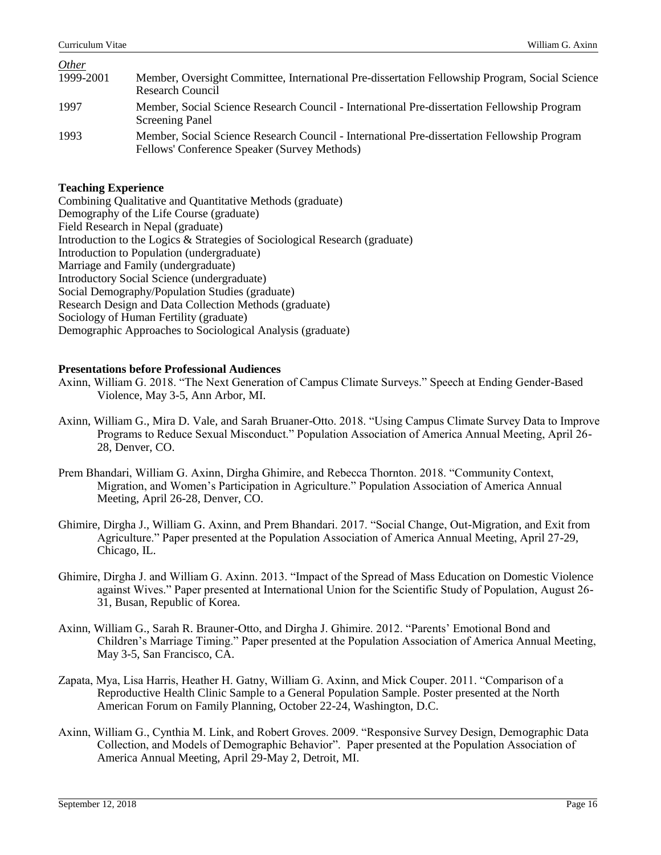*Other*

| O(        |                                                                                                                                             |
|-----------|---------------------------------------------------------------------------------------------------------------------------------------------|
| 1999-2001 | Member, Oversight Committee, International Pre-dissertation Fellowship Program, Social Science                                              |
|           | Research Council                                                                                                                            |
| 1997      | Member, Social Science Research Council - International Pre-dissertation Fellowship Program<br><b>Screening Panel</b>                       |
| 1993      | Member, Social Science Research Council - International Pre-dissertation Fellowship Program<br>Fellows' Conference Speaker (Survey Methods) |

### **Teaching Experience**

| Combining Qualitative and Quantitative Methods (graduate)                   |
|-----------------------------------------------------------------------------|
| Demography of the Life Course (graduate)                                    |
| Field Research in Nepal (graduate)                                          |
| Introduction to the Logics & Strategies of Sociological Research (graduate) |
| Introduction to Population (undergraduate)                                  |
| Marriage and Family (undergraduate)                                         |
| <b>Introductory Social Science (undergraduate)</b>                          |
| Social Demography/Population Studies (graduate)                             |
| Research Design and Data Collection Methods (graduate)                      |
| Sociology of Human Fertility (graduate)                                     |
| Demographic Approaches to Sociological Analysis (graduate)                  |
|                                                                             |

### **Presentations before Professional Audiences**

- Axinn, William G. 2018. "The Next Generation of Campus Climate Surveys." Speech at Ending Gender-Based Violence, May 3-5, Ann Arbor, MI.
- Axinn, William G., Mira D. Vale, and Sarah Bruaner-Otto. 2018. "Using Campus Climate Survey Data to Improve Programs to Reduce Sexual Misconduct." Population Association of America Annual Meeting, April 26- 28, Denver, CO.
- Prem Bhandari, William G. Axinn, Dirgha Ghimire, and Rebecca Thornton. 2018. "Community Context, Migration, and Women's Participation in Agriculture." Population Association of America Annual Meeting, April 26-28, Denver, CO.
- Ghimire, Dirgha J., William G. Axinn, and Prem Bhandari. 2017. "Social Change, Out-Migration, and Exit from Agriculture." Paper presented at the Population Association of America Annual Meeting, April 27-29, Chicago, IL.
- Ghimire, Dirgha J. and William G. Axinn. 2013. "Impact of the Spread of Mass Education on Domestic Violence against Wives." Paper presented at International Union for the Scientific Study of Population, August 26- 31, Busan, Republic of Korea.
- Axinn, William G., Sarah R. Brauner-Otto, and Dirgha J. Ghimire. 2012. "Parents' Emotional Bond and Children's Marriage Timing." Paper presented at the Population Association of America Annual Meeting, May 3-5, San Francisco, CA.
- Zapata, Mya, Lisa Harris, Heather H. Gatny, William G. Axinn, and Mick Couper. 2011. "Comparison of a Reproductive Health Clinic Sample to a General Population Sample. Poster presented at the North American Forum on Family Planning, October 22-24, Washington, D.C.
- Axinn, William G., Cynthia M. Link, and Robert Groves. 2009. "Responsive Survey Design, Demographic Data Collection, and Models of Demographic Behavior". Paper presented at the Population Association of America Annual Meeting, April 29-May 2, Detroit, MI.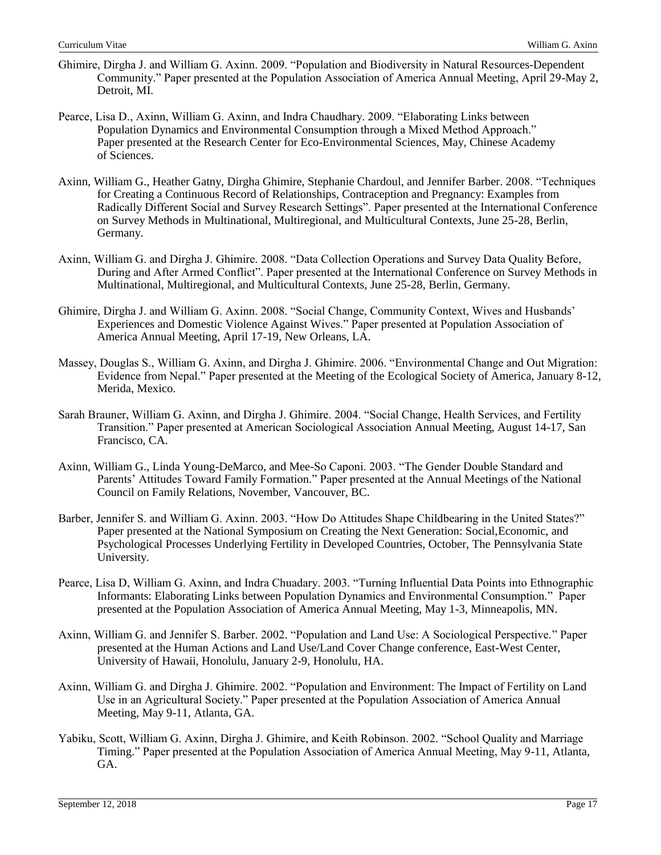- Ghimire, Dirgha J. and William G. Axinn. 2009. "Population and Biodiversity in Natural Resources-Dependent Community." Paper presented at the Population Association of America Annual Meeting, April 29-May 2, Detroit, MI.
- Pearce, Lisa D., Axinn, William G. Axinn, and Indra Chaudhary. 2009. "Elaborating Links between Population Dynamics and Environmental Consumption through a Mixed Method Approach." Paper presented at the Research Center for Eco-Environmental Sciences, May, Chinese Academy of Sciences.
- Axinn, William G., Heather Gatny, Dirgha Ghimire, Stephanie Chardoul, and Jennifer Barber. 2008. "Techniques for Creating a Continuous Record of Relationships, Contraception and Pregnancy: Examples from Radically Different Social and Survey Research Settings". Paper presented at the International Conference on Survey Methods in Multinational, Multiregional, and Multicultural Contexts, June 25-28, Berlin, Germany.
- Axinn, William G. and Dirgha J. Ghimire. 2008. "Data Collection Operations and Survey Data Quality Before, During and After Armed Conflict". Paper presented at the International Conference on Survey Methods in Multinational, Multiregional, and Multicultural Contexts, June 25-28, Berlin, Germany.
- Ghimire, Dirgha J. and William G. Axinn. 2008. "Social Change, Community Context, Wives and Husbands' Experiences and Domestic Violence Against Wives." Paper presented at Population Association of America Annual Meeting, April 17-19, New Orleans, LA.
- Massey, Douglas S., William G. Axinn, and Dirgha J. Ghimire. 2006. "Environmental Change and Out Migration: Evidence from Nepal." Paper presented at the Meeting of the Ecological Society of America, January 8-12, Merida, Mexico.
- Sarah Brauner, William G. Axinn, and Dirgha J. Ghimire. 2004. "Social Change, Health Services, and Fertility Transition." Paper presented at American Sociological Association Annual Meeting, August 14-17, San Francisco, CA.
- Axinn, William G., Linda Young-DeMarco, and Mee-So Caponi. 2003. "The Gender Double Standard and Parents' Attitudes Toward Family Formation." Paper presented at the Annual Meetings of the National Council on Family Relations, November, Vancouver, BC.
- Barber, Jennifer S. and William G. Axinn. 2003. "How Do Attitudes Shape Childbearing in the United States?" Paper presented at the National Symposium on Creating the Next Generation: Social,Economic, and Psychological Processes Underlying Fertility in Developed Countries, October, The Pennsylvania State University.
- Pearce, Lisa D, William G. Axinn, and Indra Chuadary. 2003. "Turning Influential Data Points into Ethnographic Informants: Elaborating Links between Population Dynamics and Environmental Consumption." Paper presented at the Population Association of America Annual Meeting, May 1-3, Minneapolis, MN.
- Axinn, William G. and Jennifer S. Barber. 2002. "Population and Land Use: A Sociological Perspective." Paper presented at the Human Actions and Land Use/Land Cover Change conference, East-West Center, University of Hawaii, Honolulu, January 2-9, Honolulu, HA.
- Axinn, William G. and Dirgha J. Ghimire. 2002. "Population and Environment: The Impact of Fertility on Land Use in an Agricultural Society." Paper presented at the Population Association of America Annual Meeting, May 9-11, Atlanta, GA.
- Yabiku, Scott, William G. Axinn, Dirgha J. Ghimire, and Keith Robinson. 2002. "School Quality and Marriage Timing." Paper presented at the Population Association of America Annual Meeting, May 9-11, Atlanta, GA.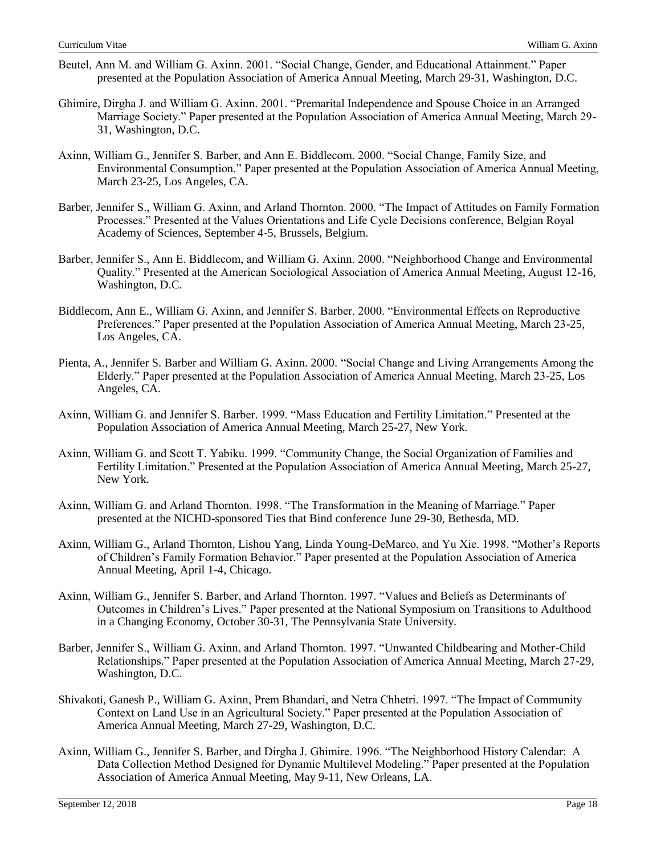- Beutel, Ann M. and William G. Axinn. 2001. "Social Change, Gender, and Educational Attainment." Paper presented at the Population Association of America Annual Meeting, March 29-31, Washington, D.C.
- Ghimire, Dirgha J. and William G. Axinn. 2001. "Premarital Independence and Spouse Choice in an Arranged Marriage Society." Paper presented at the Population Association of America Annual Meeting, March 29- 31, Washington, D.C.
- Axinn, William G., Jennifer S. Barber, and Ann E. Biddlecom. 2000. "Social Change, Family Size, and Environmental Consumption." Paper presented at the Population Association of America Annual Meeting, March 23-25, Los Angeles, CA.
- Barber, Jennifer S., William G. Axinn, and Arland Thornton. 2000. "The Impact of Attitudes on Family Formation Processes." Presented at the Values Orientations and Life Cycle Decisions conference, Belgian Royal Academy of Sciences, September 4-5, Brussels, Belgium.
- Barber, Jennifer S., Ann E. Biddlecom, and William G. Axinn. 2000. "Neighborhood Change and Environmental Quality." Presented at the American Sociological Association of America Annual Meeting, August 12-16, Washington, D.C.
- Biddlecom, Ann E., William G. Axinn, and Jennifer S. Barber. 2000. "Environmental Effects on Reproductive Preferences." Paper presented at the Population Association of America Annual Meeting, March 23-25, Los Angeles, CA.
- Pienta, A., Jennifer S. Barber and William G. Axinn. 2000. "Social Change and Living Arrangements Among the Elderly." Paper presented at the Population Association of America Annual Meeting, March 23-25, Los Angeles, CA.
- Axinn, William G. and Jennifer S. Barber. 1999. "Mass Education and Fertility Limitation." Presented at the Population Association of America Annual Meeting, March 25-27, New York.
- Axinn, William G. and Scott T. Yabiku. 1999. "Community Change, the Social Organization of Families and Fertility Limitation." Presented at the Population Association of America Annual Meeting, March 25-27, New York.
- Axinn, William G. and Arland Thornton. 1998. "The Transformation in the Meaning of Marriage." Paper presented at the NICHD-sponsored Ties that Bind conference June 29-30, Bethesda, MD.
- Axinn, William G., Arland Thornton, Lishou Yang, Linda Young-DeMarco, and Yu Xie. 1998. "Mother's Reports of Children's Family Formation Behavior." Paper presented at the Population Association of America Annual Meeting, April 1-4, Chicago.
- Axinn, William G., Jennifer S. Barber, and Arland Thornton. 1997. "Values and Beliefs as Determinants of Outcomes in Children's Lives." Paper presented at the National Symposium on Transitions to Adulthood in a Changing Economy, October 30-31, The Pennsylvania State University.
- Barber, Jennifer S., William G. Axinn, and Arland Thornton. 1997. "Unwanted Childbearing and Mother-Child Relationships." Paper presented at the Population Association of America Annual Meeting, March 27-29, Washington, D.C.
- Shivakoti, Ganesh P., William G. Axinn, Prem Bhandari, and Netra Chhetri. 1997. "The Impact of Community Context on Land Use in an Agricultural Society." Paper presented at the Population Association of America Annual Meeting, March 27-29, Washington, D.C.
- Axinn, William G., Jennifer S. Barber, and Dirgha J. Ghimire. 1996. "The Neighborhood History Calendar: A Data Collection Method Designed for Dynamic Multilevel Modeling." Paper presented at the Population Association of America Annual Meeting, May 9-11, New Orleans, LA.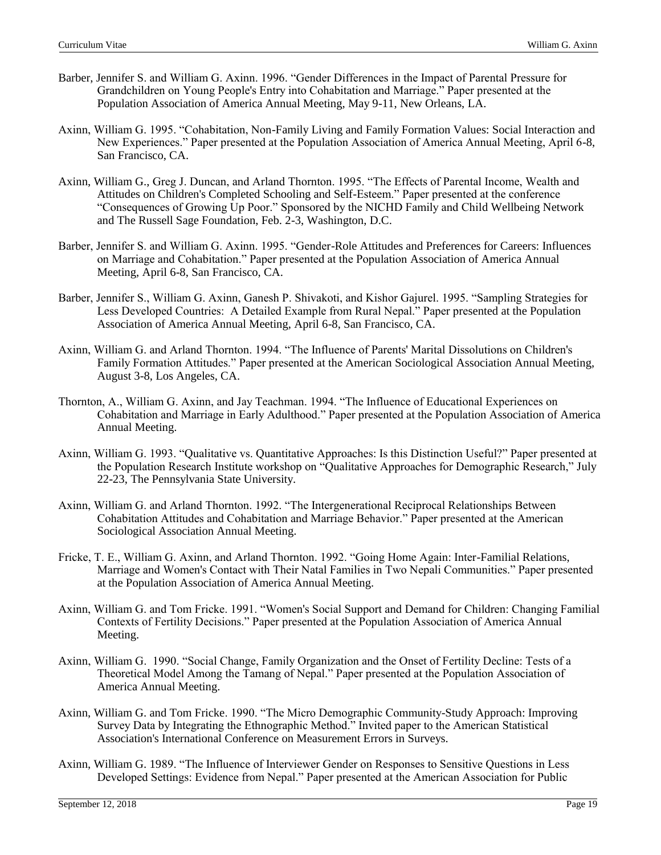- Barber, Jennifer S. and William G. Axinn. 1996. "Gender Differences in the Impact of Parental Pressure for Grandchildren on Young People's Entry into Cohabitation and Marriage." Paper presented at the Population Association of America Annual Meeting, May 9-11, New Orleans, LA.
- Axinn, William G. 1995. "Cohabitation, Non-Family Living and Family Formation Values: Social Interaction and New Experiences." Paper presented at the Population Association of America Annual Meeting, April 6-8, San Francisco, CA.
- Axinn, William G., Greg J. Duncan, and Arland Thornton. 1995. "The Effects of Parental Income, Wealth and Attitudes on Children's Completed Schooling and Self-Esteem." Paper presented at the conference "Consequences of Growing Up Poor." Sponsored by the NICHD Family and Child Wellbeing Network and The Russell Sage Foundation, Feb. 2-3, Washington, D.C.
- Barber, Jennifer S. and William G. Axinn. 1995. "Gender-Role Attitudes and Preferences for Careers: Influences on Marriage and Cohabitation." Paper presented at the Population Association of America Annual Meeting, April 6-8, San Francisco, CA.
- Barber, Jennifer S., William G. Axinn, Ganesh P. Shivakoti, and Kishor Gajurel. 1995. "Sampling Strategies for Less Developed Countries: A Detailed Example from Rural Nepal." Paper presented at the Population Association of America Annual Meeting, April 6-8, San Francisco, CA.
- Axinn, William G. and Arland Thornton. 1994. "The Influence of Parents' Marital Dissolutions on Children's Family Formation Attitudes." Paper presented at the American Sociological Association Annual Meeting, August 3-8, Los Angeles, CA.
- Thornton, A., William G. Axinn, and Jay Teachman. 1994. "The Influence of Educational Experiences on Cohabitation and Marriage in Early Adulthood." Paper presented at the Population Association of America Annual Meeting.
- Axinn, William G. 1993. "Qualitative vs. Quantitative Approaches: Is this Distinction Useful?" Paper presented at the Population Research Institute workshop on "Qualitative Approaches for Demographic Research," July 22-23, The Pennsylvania State University.
- Axinn, William G. and Arland Thornton. 1992. "The Intergenerational Reciprocal Relationships Between Cohabitation Attitudes and Cohabitation and Marriage Behavior." Paper presented at the American Sociological Association Annual Meeting.
- Fricke, T. E., William G. Axinn, and Arland Thornton. 1992. "Going Home Again: Inter-Familial Relations, Marriage and Women's Contact with Their Natal Families in Two Nepali Communities." Paper presented at the Population Association of America Annual Meeting.
- Axinn, William G. and Tom Fricke. 1991. "Women's Social Support and Demand for Children: Changing Familial Contexts of Fertility Decisions." Paper presented at the Population Association of America Annual Meeting.
- Axinn, William G. 1990. "Social Change, Family Organization and the Onset of Fertility Decline: Tests of a Theoretical Model Among the Tamang of Nepal." Paper presented at the Population Association of America Annual Meeting.
- Axinn, William G. and Tom Fricke. 1990. "The Micro Demographic Community-Study Approach: Improving Survey Data by Integrating the Ethnographic Method." Invited paper to the American Statistical Association's International Conference on Measurement Errors in Surveys.
- Axinn, William G. 1989. "The Influence of Interviewer Gender on Responses to Sensitive Questions in Less Developed Settings: Evidence from Nepal." Paper presented at the American Association for Public